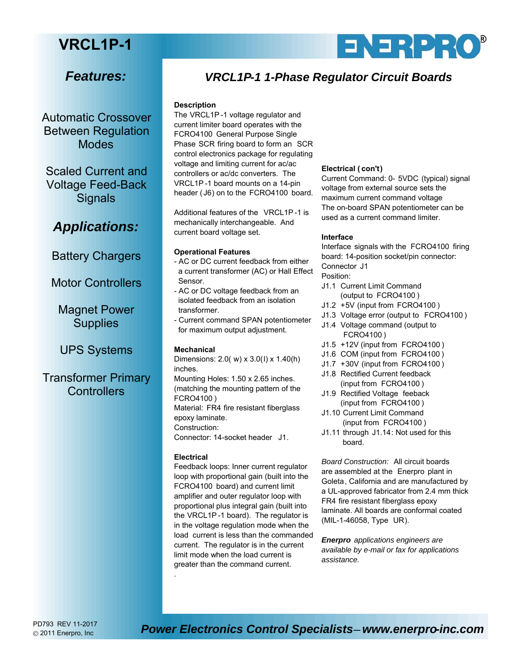# **VRCL1P-1**

## *Features:*

Automatic Crossover Between Regulation Modes

Scaled Current and Voltage Feed-Back **Signals** 

### *Applications:*

Battery Chargers

Motor Controllers

Magnet Power **Supplies** 

UPS Systems

Transformer Primary **Controllers** 

### *VRCL1P-1 1-Phase Regulator Circuit Boards*

#### **Description**

The VRCL1P -1 voltage regulator and current limiter board operates with the FCRO4100 General Purpose Single Phase SCR firing board to form an SCR control electronics package for regulating voltage and limiting current for ac/ac controllers or ac/dc converters. The VRCL1P -1 board mounts on a 14-pin header ( J6) on to the FCRO4100 board.

Additional features of the VRCL1P -1 is mechanically interchangeable. And current board voltage set.

#### **Operational Features**

- AC or DC current feedback from either a current transformer (AC) or Hall Effect Sensor.
- AC or DC voltage feedback from an isolated feedback from an isolation transformer.
- Current command SPAN potentiometer for maximum output adjustment.

#### **Mechanical**

Dimensions: 2.0( w) x 3.0(l) x 1.40(h) inches. Mounting Holes: 1.50 x 2.65 inches. (matching the mounting pattern of the FCRO4100 ) Material: FR4 fire resistant fiberglass epoxy laminate. Construction: Connector: 14-socket header J1.

#### **Electrical**

.

Feedback loops: Inner current regulator loop with proportional gain (built into the FCRO4100 board) and current limit amplifier and outer regulator loop with proportional plus integral gain (built into the VRCL1P -1 board). The regulator is in the voltage regulation mode when the load current is less than the commanded current. The regulator is in the current limit mode when the load current is greater than the command current.

#### **Electrical ( con't)**

Current Command: 0- 5VDC (typical) signal voltage from external source sets the maximum current command voltage The on-board SPAN potentiometer can be used as a current command limiter.

**®**

#### **Interface**

Interface signals with the FCRO4100 firing board: 14-position socket/pin connector: Connector J1

Position:

- J1.1 Current Limit Command (output to FCRO4100 )
- J1.2 +5V (input from FCRO4100 )
- J1.3 Voltage error (output to FCRO4100 )
- J1.4 Voltage command (output to FCRO4100 )
- J1.5 +12V (input from FCRO4100 )
- J1.6 COM (input from FCRO4100 )
- J1.7 +30V (input from FCRO4100 )
- J1.8 Rectified Current feedback (input from FCRO4100 )
- J1.9 Rectified Voltage feeback (input from FCRO4100 )
- J1.10 Current Limit Command (input from FCRO4100 )
- J1.11 through J1.14: Not used for this board.

*Board Construction:* All circuit boards are assembled at the Enerpro plant in Goleta, California and are manufactured by a UL-approved fabricator from 2.4 mm thick FR4 fire resistant fiberglass epoxy laminate. All boards are conformal coated (MIL-1-46058, Type UR).

*Enerpro applications engineers are available by e-mail or fax for applications assistance.*

2011 Enerpro, Inc

**PD793 REV 11-2017**<br>@ 2011 Energy Inc. **Power Electronics Control Specialists- www.enerpro-inc.com**